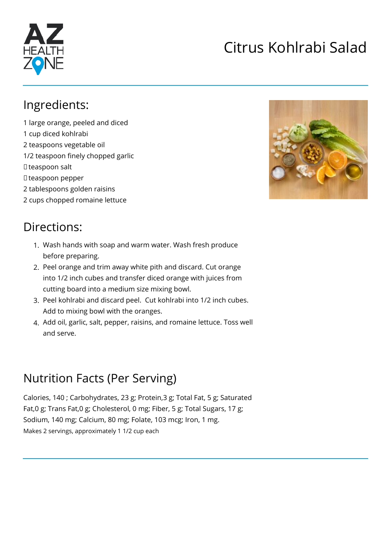

# Citrus Kohlrabi Salad

## Ingredients:

1 large orange, peeled and diced 1 cup diced kohlrabi 2 teaspoons vegetable oil 1/2 teaspoon finely chopped garlic **□** teaspoon salt □ teaspoon pepper 2 tablespoons golden raisins 2 cups chopped romaine lettuce



## Directions:

- 1. Wash hands with soap and warm water. Wash fresh produce before preparing.
- 2. Peel orange and trim away white pith and discard. Cut orange into 1/2 inch cubes and transfer diced orange with juices from cutting board into a medium size mixing bowl.
- 3. Peel kohlrabi and discard peel. Cut kohlrabi into 1/2 inch cubes. Add to mixing bowl with the oranges.
- 4. Add oil, garlic, salt, pepper, raisins, and romaine lettuce. Toss well and serve.

## Nutrition Facts (Per Serving)

Calories, 140 ; Carbohydrates, 23 g; Protein,3 g; Total Fat, 5 g; Saturated Fat,0 g; Trans Fat,0 g; Cholesterol, 0 mg; Fiber, 5 g; Total Sugars, 17 g; Sodium, 140 mg; Calcium, 80 mg; Folate, 103 mcg; Iron, 1 mg. Makes 2 servings, approximately 1 1/2 cup each